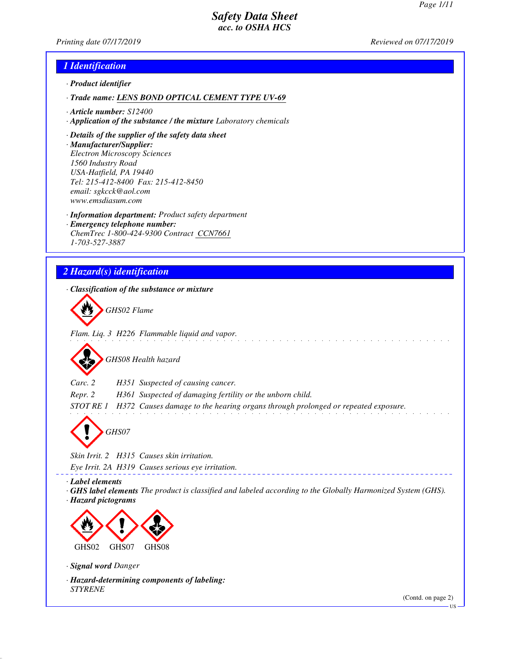*Printing date 07/17/2019 Reviewed on 07/17/2019*

#### *1 Identification*

- *· Product identifier*
- *· Trade name: LENS BOND OPTICAL CEMENT TYPE UV-69*
- *· Article number: S12400*
- *· Application of the substance / the mixture Laboratory chemicals*
- *· Details of the supplier of the safety data sheet*
- *· Manufacturer/Supplier: Electron Microscopy Sciences 1560 Industry Road USA-Hatfield, PA 19440 Tel: 215-412-8400 Fax: 215-412-8450 email: sgkcck@aol.com www.emsdiasum.com*
- *· Information department: Product safety department*
- *· Emergency telephone number: ChemTrec 1-800-424-9300 Contract CCN7661 1-703-527-3887*

# *2 Hazard(s) identification*

*· Classification of the substance or mixture*



*Flam. Liq. 3 H226 Flammable liquid and vapor.*

*GHS08 Health hazard*

*Carc. 2 H351 Suspected of causing cancer.*

*Repr. 2 H361 Suspected of damaging fertility or the unborn child.*

*STOT RE 1 H372 Causes damage to the hearing organs through prolonged or repeated exposure.*

*GHS07*

*Skin Irrit. 2 H315 Causes skin irritation.*

*Eye Irrit. 2A H319 Causes serious eye irritation.*

*· Label elements*

*· GHS label elements The product is classified and labeled according to the Globally Harmonized System (GHS). · Hazard pictograms*



*· Signal word Danger*

*· Hazard-determining components of labeling: STYRENE*

(Contd. on page 2)

US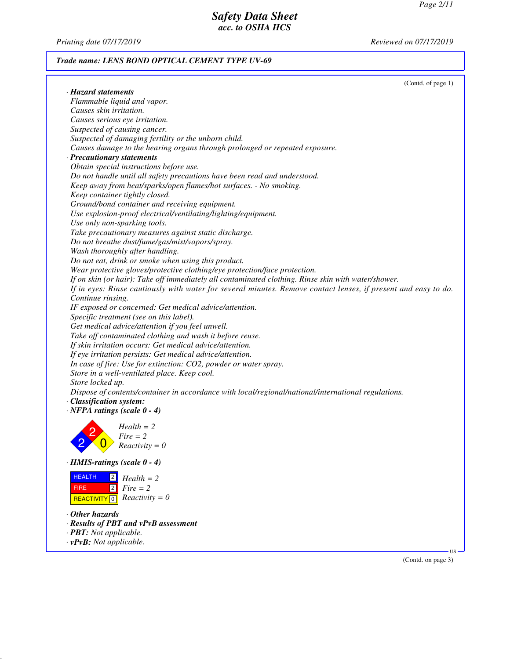*Printing date 07/17/2019 Reviewed on 07/17/2019*

## *Trade name: LENS BOND OPTICAL CEMENT TYPE UV-69*

|                                                                                                                | (Contd. of page 1)           |
|----------------------------------------------------------------------------------------------------------------|------------------------------|
| · Hazard statements                                                                                            |                              |
| Flammable liquid and vapor.                                                                                    |                              |
| Causes skin irritation.                                                                                        |                              |
| Causes serious eye irritation.                                                                                 |                              |
| Suspected of causing cancer.                                                                                   |                              |
| Suspected of damaging fertility or the unborn child.                                                           |                              |
| Causes damage to the hearing organs through prolonged or repeated exposure.                                    |                              |
| · Precautionary statements                                                                                     |                              |
| Obtain special instructions before use.                                                                        |                              |
| Do not handle until all safety precautions have been read and understood.                                      |                              |
| Keep away from heat/sparks/open flames/hot surfaces. - No smoking.                                             |                              |
| Keep container tightly closed.                                                                                 |                              |
| Ground/bond container and receiving equipment.                                                                 |                              |
| Use explosion-proof electrical/ventilating/lighting/equipment.                                                 |                              |
| Use only non-sparking tools.                                                                                   |                              |
| Take precautionary measures against static discharge.                                                          |                              |
| Do not breathe dust/fume/gas/mist/vapors/spray.                                                                |                              |
| Wash thoroughly after handling.                                                                                |                              |
| Do not eat, drink or smoke when using this product.                                                            |                              |
| Wear protective gloves/protective clothing/eye protection/face protection.                                     |                              |
| If on skin (or hair): Take off immediately all contaminated clothing. Rinse skin with water/shower.            |                              |
| If in eyes: Rinse cautiously with water for several minutes. Remove contact lenses, if present and easy to do. |                              |
| Continue rinsing.                                                                                              |                              |
| IF exposed or concerned: Get medical advice/attention.                                                         |                              |
| Specific treatment (see on this label).                                                                        |                              |
| Get medical advice/attention if you feel unwell.                                                               |                              |
| Take off contaminated clothing and wash it before reuse.                                                       |                              |
| If skin irritation occurs: Get medical advice/attention.                                                       |                              |
| If eye irritation persists: Get medical advice/attention.                                                      |                              |
| In case of fire: Use for extinction: CO2, powder or water spray.                                               |                              |
| Store in a well-ventilated place. Keep cool.                                                                   |                              |
| Store locked up.                                                                                               |                              |
| Dispose of contents/container in accordance with local/regional/national/international regulations.            |                              |
| · Classification system:                                                                                       |                              |
| $\cdot$ NFPA ratings (scale 0 - 4)                                                                             |                              |
|                                                                                                                |                              |
| $Health = 2$                                                                                                   |                              |
| $Fire = 2$                                                                                                     |                              |
| $Reactivity = 0$                                                                                               |                              |
|                                                                                                                |                              |
| $\cdot$ HMIS-ratings (scale $0 - 4$ )                                                                          |                              |
| <b>HEALTH</b><br> 2 <br>$Health = 2$                                                                           |                              |
| $\sqrt{2}$<br>$Fire = 2$<br><b>FIRE</b>                                                                        |                              |
| $Reactivity = 0$<br><b>REACTIVITY</b> 0                                                                        |                              |
|                                                                                                                |                              |
| $\cdot$ Other hazards                                                                                          |                              |
| · Results of PBT and vPvB assessment                                                                           |                              |
| · PBT: Not applicable.                                                                                         |                              |
| $\cdot$ vPvB: Not applicable.                                                                                  |                              |
|                                                                                                                | $US -$<br>(Contd. on page 3) |
|                                                                                                                |                              |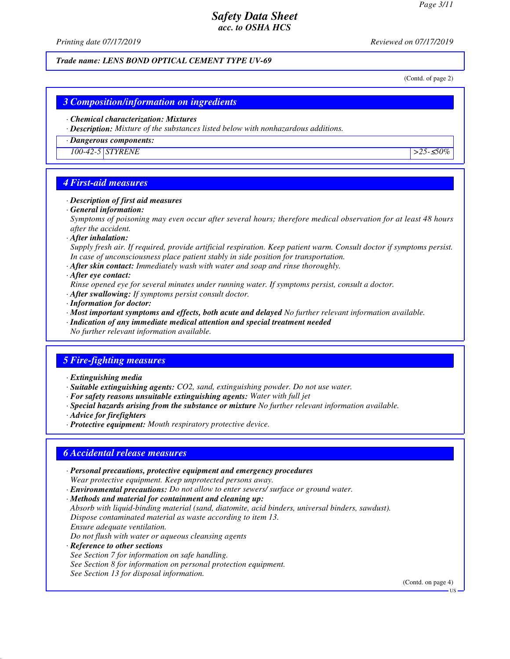*Printing date 07/17/2019 Reviewed on 07/17/2019*

#### *Trade name: LENS BOND OPTICAL CEMENT TYPE UV-69*

(Contd. of page 2)

#### *3 Composition/information on ingredients*

#### *· Chemical characterization: Mixtures*

*· Description: Mixture of the substances listed below with nonhazardous additions.*

#### *· Dangerous components:*

*100-42-5 STYRENE >25-*≤*50%*

#### *4 First-aid measures*

#### *· Description of first aid measures*

*· General information:*

*Symptoms of poisoning may even occur after several hours; therefore medical observation for at least 48 hours after the accident.*

*· After inhalation:*

*Supply fresh air. If required, provide artificial respiration. Keep patient warm. Consult doctor if symptoms persist. In case of unconsciousness place patient stably in side position for transportation.*

- *· After skin contact: Immediately wash with water and soap and rinse thoroughly.*
- *· After eye contact:*
- *Rinse opened eye for several minutes under running water. If symptoms persist, consult a doctor.*
- *· After swallowing: If symptoms persist consult doctor.*
- *· Information for doctor:*
- *· Most important symptoms and effects, both acute and delayed No further relevant information available.*
- *· Indication of any immediate medical attention and special treatment needed*
- *No further relevant information available.*

## *5 Fire-fighting measures*

- *· Extinguishing media*
- *· Suitable extinguishing agents: CO2, sand, extinguishing powder. Do not use water.*
- *· For safety reasons unsuitable extinguishing agents: Water with full jet*
- *· Special hazards arising from the substance or mixture No further relevant information available.*
- *· Advice for firefighters*
- *· Protective equipment: Mouth respiratory protective device.*

### *6 Accidental release measures*

- *· Personal precautions, protective equipment and emergency procedures Wear protective equipment. Keep unprotected persons away.*
- *· Environmental precautions: Do not allow to enter sewers/ surface or ground water.*
- *· Methods and material for containment and cleaning up:*

*Absorb with liquid-binding material (sand, diatomite, acid binders, universal binders, sawdust). Dispose contaminated material as waste according to item 13.*

- *Ensure adequate ventilation.*
- *Do not flush with water or aqueous cleansing agents*
- *· Reference to other sections*
- *See Section 7 for information on safe handling.*
- *See Section 8 for information on personal protection equipment.*
- *See Section 13 for disposal information.*

(Contd. on page 4)

**TIC**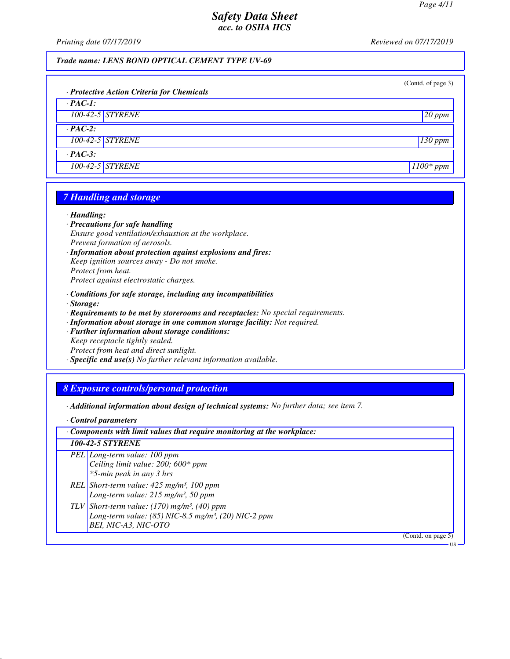US

## *Safety Data Sheet acc. to OSHA HCS*

*Printing date 07/17/2019 Reviewed on 07/17/2019*

*Trade name: LENS BOND OPTICAL CEMENT TYPE UV-69*

| · Protective Action Criteria for Chemicals | (Contd. of page 3) |
|--------------------------------------------|--------------------|
| $\cdot$ PAC-1:                             |                    |
| 100-42-5 STYRENE                           | $20$ ppm           |
| $\cdot$ PAC-2:                             |                    |
| 100-42-5 STYRENE                           | $130$ ppm          |
| $\cdot$ PAC-3:                             |                    |
| 100-42-5 STYRENE                           | $1100*$ ppm        |

## *7 Handling and storage*

#### *· Handling:*

- *· Precautions for safe handling Ensure good ventilation/exhaustion at the workplace. Prevent formation of aerosols.*
- *· Information about protection against explosions and fires: Keep ignition sources away - Do not smoke. Protect from heat. Protect against electrostatic charges.*
- *· Conditions for safe storage, including any incompatibilities*
- *· Storage:*
- *· Requirements to be met by storerooms and receptacles: No special requirements.*
- *· Information about storage in one common storage facility: Not required.*
- *· Further information about storage conditions: Keep receptacle tightly sealed. Protect from heat and direct sunlight.*
- *· Specific end use(s) No further relevant information available.*

#### *8 Exposure controls/personal protection*

- *· Additional information about design of technical systems: No further data; see item 7.*
- *· Control parameters*

| $\cdot$ Components with limit values that require monitoring at the workplace: |                                                                                                                                                          |  |
|--------------------------------------------------------------------------------|----------------------------------------------------------------------------------------------------------------------------------------------------------|--|
|                                                                                | <b>100-42-5 STYRENE</b>                                                                                                                                  |  |
|                                                                                | PEL Long-term value: 100 ppm<br>Ceiling limit value: 200; 600* ppm<br>*5-min peak in any 3 hrs                                                           |  |
|                                                                                | REL Short-term value: $425$ mg/m <sup>3</sup> , 100 ppm<br>Long-term value: 215 mg/m <sup>3</sup> , 50 ppm                                               |  |
|                                                                                | TLV Short-term value: $(170)$ mg/m <sup>3</sup> , $(40)$ ppm<br>Long-term value: (85) NIC-8.5 mg/m <sup>3</sup> , (20) NIC-2 ppm<br>BEI, NIC-A3, NIC-OTO |  |
|                                                                                | (Contd. on page $5$ )                                                                                                                                    |  |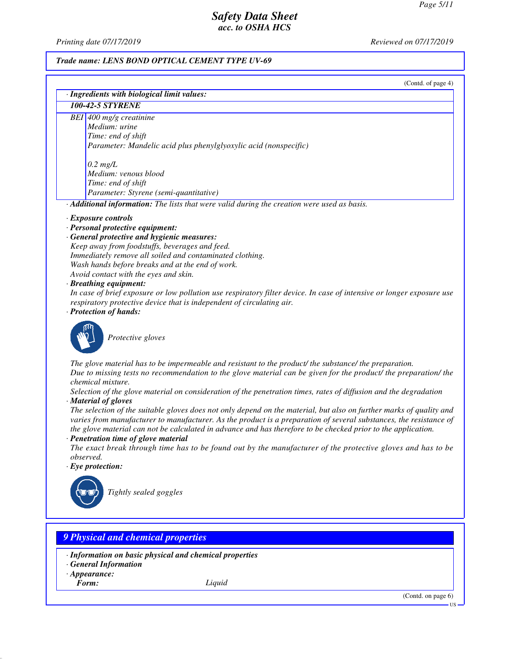*Printing date 07/17/2019 Reviewed on 07/17/2019*

### *Trade name: LENS BOND OPTICAL CEMENT TYPE UV-69*

(Contd. of page 4)

| · Ingredients with biological limit values:                                                                                                                                                                                                    |  |  |  |
|------------------------------------------------------------------------------------------------------------------------------------------------------------------------------------------------------------------------------------------------|--|--|--|
| <b>100-42-5 STYRENE</b>                                                                                                                                                                                                                        |  |  |  |
| BEI 400 mg/g creatinine                                                                                                                                                                                                                        |  |  |  |
| Medium: urine                                                                                                                                                                                                                                  |  |  |  |
| Time: end of shift                                                                                                                                                                                                                             |  |  |  |
| Parameter: Mandelic acid plus phenylglyoxylic acid (nonspecific)                                                                                                                                                                               |  |  |  |
| $0.2$ mg/L                                                                                                                                                                                                                                     |  |  |  |
| Medium: venous blood                                                                                                                                                                                                                           |  |  |  |
| Time: end of shift                                                                                                                                                                                                                             |  |  |  |
| Parameter: Styrene (semi-quantitative)                                                                                                                                                                                                         |  |  |  |
| · Additional information: The lists that were valid during the creation were used as basis.                                                                                                                                                    |  |  |  |
| · Exposure controls                                                                                                                                                                                                                            |  |  |  |
| · Personal protective equipment:                                                                                                                                                                                                               |  |  |  |
| · General protective and hygienic measures:                                                                                                                                                                                                    |  |  |  |
| Keep away from foodstuffs, beverages and feed.                                                                                                                                                                                                 |  |  |  |
| Immediately remove all soiled and contaminated clothing.                                                                                                                                                                                       |  |  |  |
| Wash hands before breaks and at the end of work.                                                                                                                                                                                               |  |  |  |
| Avoid contact with the eyes and skin.                                                                                                                                                                                                          |  |  |  |
| · Breathing equipment:                                                                                                                                                                                                                         |  |  |  |
| In case of brief exposure or low pollution use respiratory filter device. In case of intensive or longer exposure use                                                                                                                          |  |  |  |
| respiratory protective device that is independent of circulating air.                                                                                                                                                                          |  |  |  |
| · Protection of hands:                                                                                                                                                                                                                         |  |  |  |
| Protective gloves                                                                                                                                                                                                                              |  |  |  |
| The glove material has to be impermeable and resistant to the product/ the substance/ the preparation.<br>Due to missing tests no recommendation to the glove material can be given for the product/ the preparation/ the<br>chemical mixture. |  |  |  |
| Selection of the glove material on consideration of the penetration times, rates of diffusion and the degradation                                                                                                                              |  |  |  |
| · Material of gloves                                                                                                                                                                                                                           |  |  |  |
| The selection of the suitable gloves does not only depend on the material, but also on further marks of quality and                                                                                                                            |  |  |  |
| varies from manufacturer to manufacturer. As the product is a preparation of several substances, the resistance of                                                                                                                             |  |  |  |
| the glove material can not be calculated in advance and has therefore to be checked prior to the application.                                                                                                                                  |  |  |  |
| · Penetration time of glove material                                                                                                                                                                                                           |  |  |  |
| The exact break through time has to be found out by the manufacturer of the protective gloves and has to be                                                                                                                                    |  |  |  |
| <i>observed.</i>                                                                                                                                                                                                                               |  |  |  |
| $\cdot$ Eye protection:                                                                                                                                                                                                                        |  |  |  |
|                                                                                                                                                                                                                                                |  |  |  |
|                                                                                                                                                                                                                                                |  |  |  |
| Tightly sealed goggles                                                                                                                                                                                                                         |  |  |  |
|                                                                                                                                                                                                                                                |  |  |  |
|                                                                                                                                                                                                                                                |  |  |  |

# *9 Physical and chemical properties*

- *· Information on basic physical and chemical properties*
- *· General Information*
- *· Appearance:*<br>*Form:*
- 

*Form: Liquid*

(Contd. on page 6)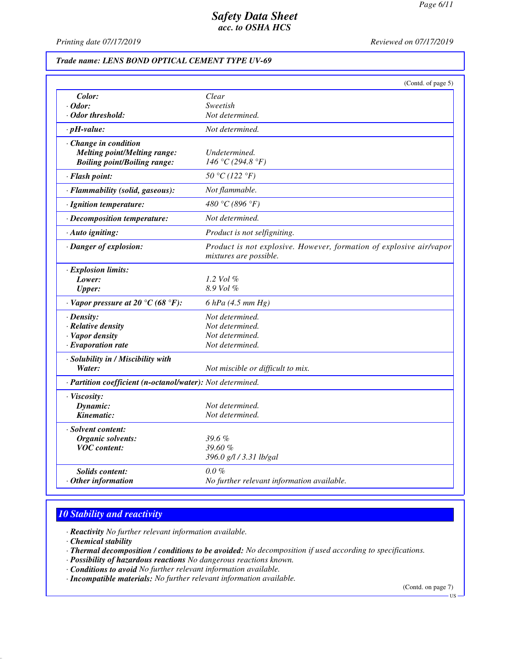*Printing date 07/17/2019 Reviewed on 07/17/2019*

### *Trade name: LENS BOND OPTICAL CEMENT TYPE UV-69*

|                                                            | (Contd. of page 5)                                                                            |
|------------------------------------------------------------|-----------------------------------------------------------------------------------------------|
| Color:                                                     | Clear                                                                                         |
| · Odor:                                                    | Sweetish                                                                                      |
| · Odor threshold:                                          | Not determined.                                                                               |
| $\cdot$ pH-value:                                          | Not determined.                                                                               |
| $\cdot$ Change in condition                                |                                                                                               |
| <b>Melting point/Melting range:</b>                        | Undetermined.                                                                                 |
| <b>Boiling point/Boiling range:</b>                        | 146 °C (294.8 °F)                                                                             |
| · Flash point:                                             | 50 °C (122 °F)                                                                                |
| · Flammability (solid, gaseous):                           | Not flammable.                                                                                |
| · Ignition temperature:                                    | 480 °C (896 °F)                                                                               |
| · Decomposition temperature:                               | Not determined.                                                                               |
| · Auto igniting:                                           | Product is not selfigniting.                                                                  |
| · Danger of explosion:                                     | Product is not explosive. However, formation of explosive air/vapor<br>mixtures are possible. |
|                                                            |                                                                                               |
| · Explosion limits:                                        |                                                                                               |
| Lower:                                                     | 1.2 Vol $\%$<br>8.9 Vol %                                                                     |
| <b>Upper:</b>                                              |                                                                                               |
| $\cdot$ Vapor pressure at 20 °C (68 °F):                   | $6$ hPa (4.5 mm Hg)                                                                           |
| $\cdot$ Density:                                           | Not determined.                                                                               |
| · Relative density                                         | Not determined.                                                                               |
| · Vapor density                                            | Not determined.                                                                               |
| $\cdot$ Evaporation rate                                   | Not determined.                                                                               |
| · Solubility in / Miscibility with                         |                                                                                               |
| Water:                                                     | Not miscible or difficult to mix.                                                             |
| · Partition coefficient (n-octanol/water): Not determined. |                                                                                               |
| · Viscosity:                                               |                                                                                               |
| Dynamic:                                                   | Not determined.                                                                               |
| Kinematic:                                                 | Not determined.                                                                               |
| · Solvent content:                                         |                                                                                               |
| Organic solvents:                                          | $39.6\%$                                                                                      |
| <b>VOC</b> content:                                        | 39.60%                                                                                        |
|                                                            | 396.0 g/l / 3.31 lb/gal                                                                       |
| Solids content:                                            | $0.0\%$                                                                                       |
| $·$ Other information                                      | No further relevant information available.                                                    |

# *10 Stability and reactivity*

*· Reactivity No further relevant information available.*

*· Chemical stability*

*· Thermal decomposition / conditions to be avoided: No decomposition if used according to specifications.*

- *· Possibility of hazardous reactions No dangerous reactions known.*
- *· Conditions to avoid No further relevant information available.*

*· Incompatible materials: No further relevant information available.*

(Contd. on page 7)

US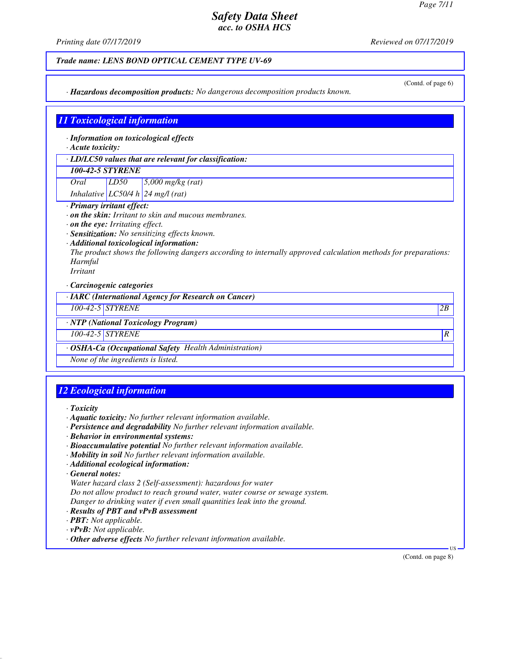(Contd. of page 6)

## *Safety Data Sheet acc. to OSHA HCS*

*Printing date 07/17/2019 Reviewed on 07/17/2019*

## *Trade name: LENS BOND OPTICAL CEMENT TYPE UV-69*

*· Hazardous decomposition products: No dangerous decomposition products known.*

#### *11 Toxicological information*

*· Information on toxicological effects*

*· Acute toxicity:*

*· LD/LC50 values that are relevant for classification:*

## *100-42-5 STYRENE*

*Oral LD50 5,000 mg/kg (rat)*

*Inhalative LC50/4 h 24 mg/l (rat)*

- *· Primary irritant effect:*
- *· on the skin: Irritant to skin and mucous membranes.*
- *· on the eye: Irritating effect.*
- *· Sensitization: No sensitizing effects known.*
- *· Additional toxicological information:*

*The product shows the following dangers according to internally approved calculation methods for preparations: Harmful*

*Irritant*

*· Carcinogenic categories*

*· IARC (International Agency for Research on Cancer)*

*100-42-5 STYRENE 2B*

*· NTP (National Toxicology Program)*

*100-42-5 STYRENE R* 

*· OSHA-Ca (Occupational Safety Health Administration)*

*None of the ingredients is listed.*

## *12 Ecological information*

*· Toxicity*

- *· Aquatic toxicity: No further relevant information available.*
- *· Persistence and degradability No further relevant information available.*
- *· Behavior in environmental systems:*
- *· Bioaccumulative potential No further relevant information available.*
- *· Mobility in soil No further relevant information available.*
- *· Additional ecological information:*

*· General notes:*

*Water hazard class 2 (Self-assessment): hazardous for water*

*Do not allow product to reach ground water, water course or sewage system.*

*Danger to drinking water if even small quantities leak into the ground.*

- *· Results of PBT and vPvB assessment*
- *· PBT: Not applicable.*

*· vPvB: Not applicable.*

*· Other adverse effects No further relevant information available.*

(Contd. on page 8)

US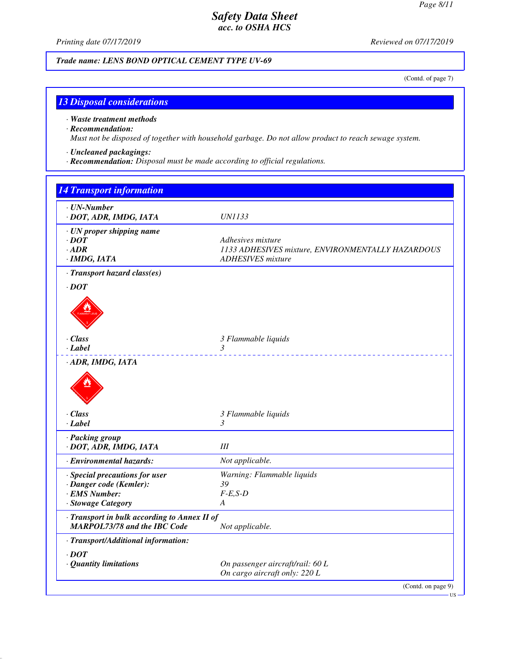*Printing date 07/17/2019 Reviewed on 07/17/2019*

*Trade name: LENS BOND OPTICAL CEMENT TYPE UV-69*

(Contd. of page 7)

## *13 Disposal considerations*

#### *· Waste treatment methods*

#### *· Recommendation:*

*Must not be disposed of together with household garbage. Do not allow product to reach sewage system.*

## *· Uncleaned packagings:*

*· Recommendation: Disposal must be made according to official regulations.*

| $\cdot$ UN-Number                            |                                                   |
|----------------------------------------------|---------------------------------------------------|
| · DOT, ADR, IMDG, IATA                       | <i>UN1133</i>                                     |
| · UN proper shipping name                    |                                                   |
| $\cdot$ DOT                                  | Adhesives mixture                                 |
| $-$ ADR                                      | 1133 ADHESIVES mixture, ENVIRONMENTALLY HAZARDOUS |
| · IMDG, IATA                                 | <b>ADHESIVES</b> mixture                          |
| · Transport hazard class(es)                 |                                                   |
| $\cdot$ DOT                                  |                                                   |
|                                              |                                                   |
| $\cdot$ Class                                | 3 Flammable liquids                               |
| · Label                                      | $\mathfrak{Z}$                                    |
| · ADR, IMDG, IATA                            |                                                   |
| $\cdot$ Class                                | 3 Flammable liquids                               |
| $\cdot$ Label                                | 3                                                 |
| · Packing group                              |                                                   |
| · DOT, ADR, IMDG, IATA                       | III                                               |
| · Environmental hazards:                     | Not applicable.                                   |
| · Special precautions for user               | Warning: Flammable liquids                        |
| · Danger code (Kemler):                      | 39                                                |
| · EMS Number:                                | $F-E,S-D$                                         |
| · Stowage Category                           | A                                                 |
| · Transport in bulk according to Annex II of |                                                   |
| <b>MARPOL73/78 and the IBC Code</b>          | Not applicable.                                   |
| · Transport/Additional information:          |                                                   |
| $\cdot$ DOT                                  |                                                   |
| · Quantity limitations                       | On passenger aircraft/rail: 60 L                  |
|                                              | On cargo aircraft only: 220 L                     |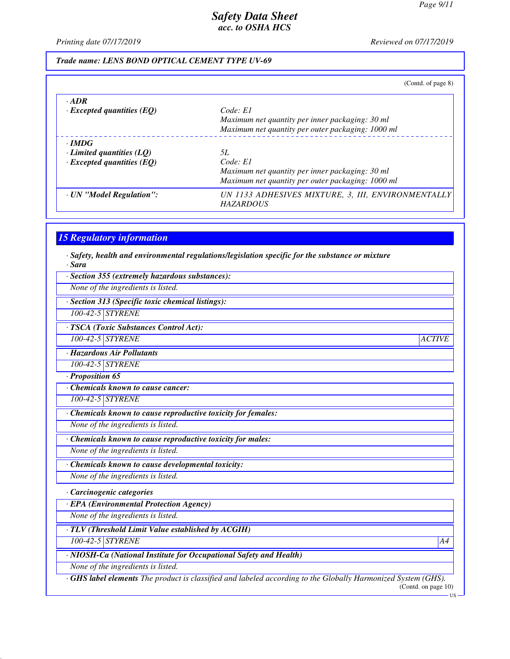*Printing date 07/17/2019 Reviewed on 07/17/2019*

#### *Trade name: LENS BOND OPTICAL CEMENT TYPE UV-69*

|                                  | (Contd. of page 8)                                 |
|----------------------------------|----------------------------------------------------|
| $-ADR$                           |                                                    |
| $\cdot$ Excepted quantities (EQ) | Code: El                                           |
|                                  | Maximum net quantity per inner packaging: 30 ml    |
|                                  | Maximum net quantity per outer packaging: 1000 ml  |
| $\cdot$ IMDG                     |                                                    |
| $\cdot$ Limited quantities (LQ)  | 5L                                                 |
| $\cdot$ Excepted quantities (EQ) | Code: El                                           |
|                                  | Maximum net quantity per inner packaging: 30 ml    |
|                                  | Maximum net quantity per outer packaging: 1000 ml  |
| · UN "Model Regulation":         | UN 1133 ADHESIVES MIXTURE, 3, III, ENVIRONMENTALLY |
|                                  | <b>HAZARDOUS</b>                                   |

#### *15 Regulatory information*

*· Safety, health and environmental regulations/legislation specific for the substance or mixture · Sara*

*· Section 355 (extremely hazardous substances):*

*None of the ingredients is listed.*

*· Section 313 (Specific toxic chemical listings):*

*100-42-5 STYRENE*

*· TSCA (Toxic Substances Control Act):*

*100-42-5 STYRENE ACTIVE*

*· Hazardous Air Pollutants*

*100-42-5 STYRENE*

*· Proposition 65*

*· Chemicals known to cause cancer:*

*100-42-5 STYRENE*

*· Chemicals known to cause reproductive toxicity for females:*

*None of the ingredients is listed.*

*· Chemicals known to cause reproductive toxicity for males:*

*None of the ingredients is listed.*

*· Chemicals known to cause developmental toxicity:*

*None of the ingredients is listed.*

*· Carcinogenic categories*

*· EPA (Environmental Protection Agency)*

*None of the ingredients is listed.*

*· TLV (Threshold Limit Value established by ACGIH)*

*100-42-5 STYRENE A4*

*· NIOSH-Ca (National Institute for Occupational Safety and Health)*

*None of the ingredients is listed.*

*· GHS label elements The product is classified and labeled according to the Globally Harmonized System (GHS).* (Contd. on page 10)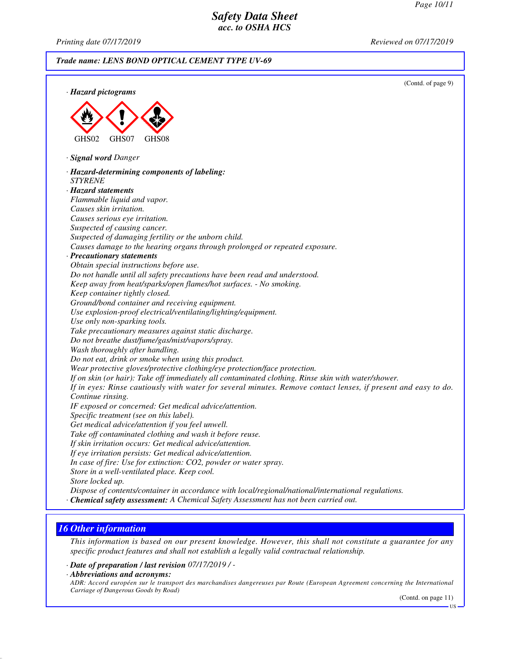*Printing date 07/17/2019 Reviewed on 07/17/2019*

*Trade name: LENS BOND OPTICAL CEMENT TYPE UV-69*



## *16 Other information*

*This information is based on our present knowledge. However, this shall not constitute a guarantee for any specific product features and shall not establish a legally valid contractual relationship.*

*· Date of preparation / last revision 07/17/2019 / -*

*· Abbreviations and acronyms:*

*ADR: Accord européen sur le transport des marchandises dangereuses par Route (European Agreement concerning the International Carriage of Dangerous Goods by Road)*

(Contd. on page 11)